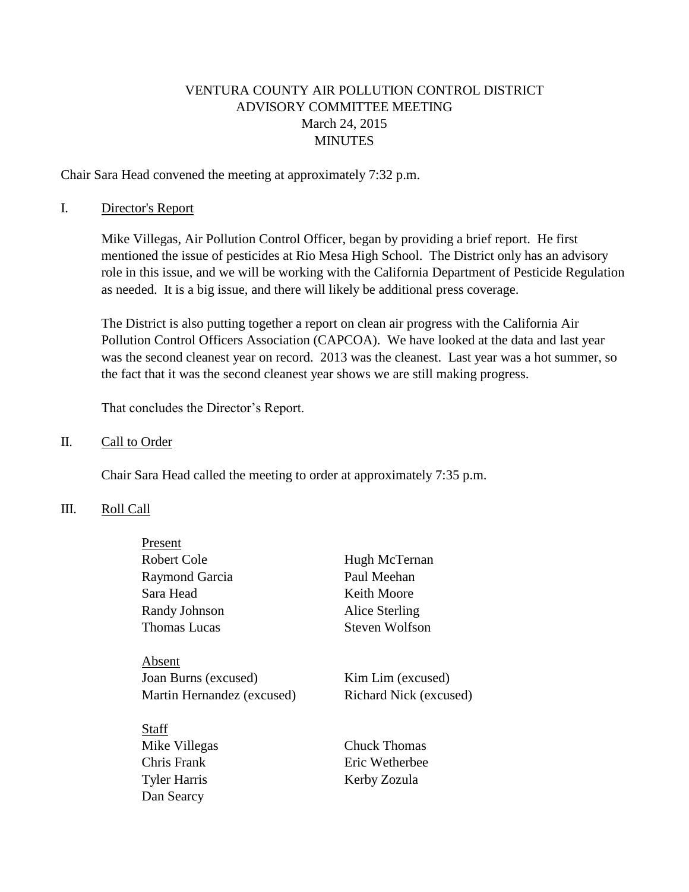# VENTURA COUNTY AIR POLLUTION CONTROL DISTRICT ADVISORY COMMITTEE MEETING March 24, 2015 **MINUTES**

Chair Sara Head convened the meeting at approximately 7:32 p.m.

#### I. Director's Report

Mike Villegas, Air Pollution Control Officer, began by providing a brief report. He first mentioned the issue of pesticides at Rio Mesa High School. The District only has an advisory role in this issue, and we will be working with the California Department of Pesticide Regulation as needed. It is a big issue, and there will likely be additional press coverage.

The District is also putting together a report on clean air progress with the California Air Pollution Control Officers Association (CAPCOA). We have looked at the data and last year was the second cleanest year on record. 2013 was the cleanest. Last year was a hot summer, so the fact that it was the second cleanest year shows we are still making progress.

That concludes the Director's Report.

### II. Call to Order

Chair Sara Head called the meeting to order at approximately 7:35 p.m.

## III. Roll Call

| Present                    |                        |
|----------------------------|------------------------|
| Robert Cole                | Hugh McTernan          |
| Raymond Garcia             | Paul Meehan            |
| Sara Head                  | Keith Moore            |
| Randy Johnson              | Alice Sterling         |
| Thomas Lucas               | Steven Wolfson         |
|                            |                        |
| Absent                     |                        |
| Joan Burns (excused)       | Kim Lim (excused)      |
| Martin Hernandez (excused) | Richard Nick (excused) |
|                            |                        |
| Staff                      |                        |
| Mike Villegas              | Chuck Thomas           |
| Chris Frank                | Eric Wetherbee         |
| <b>Tyler Harris</b>        | Kerby Zozula           |
| Dan Searcy                 |                        |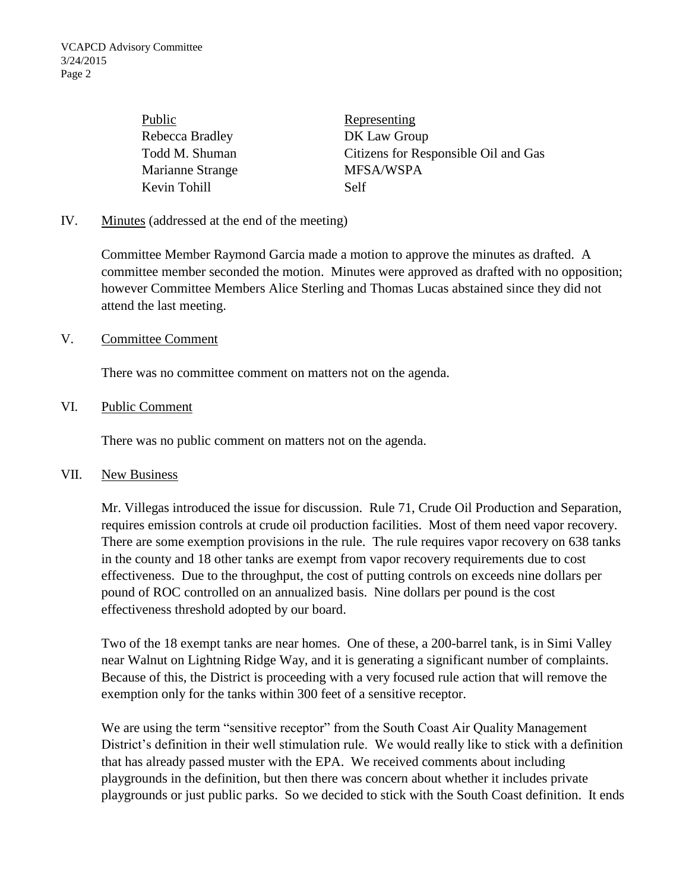Public Representing Rebecca Bradley DK Law Group Marianne Strange MFSA/WSPA Kevin Tohill Self

Todd M. Shuman Citizens for Responsible Oil and Gas

## IV. Minutes (addressed at the end of the meeting)

Committee Member Raymond Garcia made a motion to approve the minutes as drafted. A committee member seconded the motion. Minutes were approved as drafted with no opposition; however Committee Members Alice Sterling and Thomas Lucas abstained since they did not attend the last meeting.

#### V. Committee Comment

There was no committee comment on matters not on the agenda.

### VI. Public Comment

There was no public comment on matters not on the agenda.

#### VII. New Business

Mr. Villegas introduced the issue for discussion. Rule 71, Crude Oil Production and Separation, requires emission controls at crude oil production facilities. Most of them need vapor recovery. There are some exemption provisions in the rule. The rule requires vapor recovery on 638 tanks in the county and 18 other tanks are exempt from vapor recovery requirements due to cost effectiveness. Due to the throughput, the cost of putting controls on exceeds nine dollars per pound of ROC controlled on an annualized basis. Nine dollars per pound is the cost effectiveness threshold adopted by our board.

Two of the 18 exempt tanks are near homes. One of these, a 200-barrel tank, is in Simi Valley near Walnut on Lightning Ridge Way, and it is generating a significant number of complaints. Because of this, the District is proceeding with a very focused rule action that will remove the exemption only for the tanks within 300 feet of a sensitive receptor.

We are using the term "sensitive receptor" from the South Coast Air Quality Management District's definition in their well stimulation rule. We would really like to stick with a definition that has already passed muster with the EPA. We received comments about including playgrounds in the definition, but then there was concern about whether it includes private playgrounds or just public parks. So we decided to stick with the South Coast definition. It ends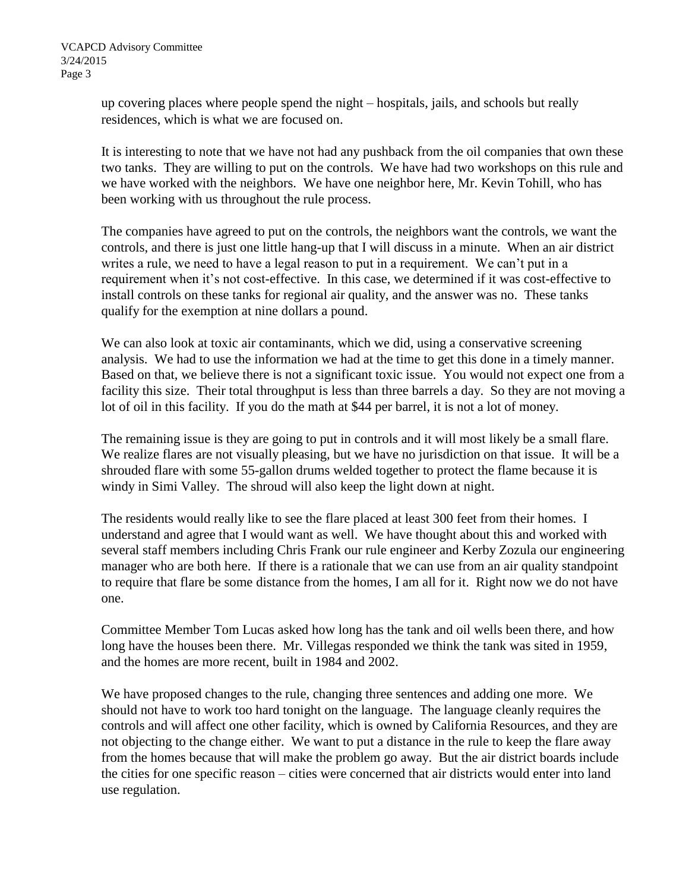up covering places where people spend the night – hospitals, jails, and schools but really residences, which is what we are focused on.

It is interesting to note that we have not had any pushback from the oil companies that own these two tanks. They are willing to put on the controls. We have had two workshops on this rule and we have worked with the neighbors. We have one neighbor here, Mr. Kevin Tohill, who has been working with us throughout the rule process.

The companies have agreed to put on the controls, the neighbors want the controls, we want the controls, and there is just one little hang-up that I will discuss in a minute. When an air district writes a rule, we need to have a legal reason to put in a requirement. We can't put in a requirement when it's not cost-effective. In this case, we determined if it was cost-effective to install controls on these tanks for regional air quality, and the answer was no. These tanks qualify for the exemption at nine dollars a pound.

We can also look at toxic air contaminants, which we did, using a conservative screening analysis. We had to use the information we had at the time to get this done in a timely manner. Based on that, we believe there is not a significant toxic issue. You would not expect one from a facility this size. Their total throughput is less than three barrels a day. So they are not moving a lot of oil in this facility. If you do the math at \$44 per barrel, it is not a lot of money.

The remaining issue is they are going to put in controls and it will most likely be a small flare. We realize flares are not visually pleasing, but we have no jurisdiction on that issue. It will be a shrouded flare with some 55-gallon drums welded together to protect the flame because it is windy in Simi Valley. The shroud will also keep the light down at night.

The residents would really like to see the flare placed at least 300 feet from their homes. I understand and agree that I would want as well. We have thought about this and worked with several staff members including Chris Frank our rule engineer and Kerby Zozula our engineering manager who are both here. If there is a rationale that we can use from an air quality standpoint to require that flare be some distance from the homes, I am all for it. Right now we do not have one.

Committee Member Tom Lucas asked how long has the tank and oil wells been there, and how long have the houses been there. Mr. Villegas responded we think the tank was sited in 1959, and the homes are more recent, built in 1984 and 2002.

We have proposed changes to the rule, changing three sentences and adding one more. We should not have to work too hard tonight on the language. The language cleanly requires the controls and will affect one other facility, which is owned by California Resources, and they are not objecting to the change either. We want to put a distance in the rule to keep the flare away from the homes because that will make the problem go away. But the air district boards include the cities for one specific reason – cities were concerned that air districts would enter into land use regulation.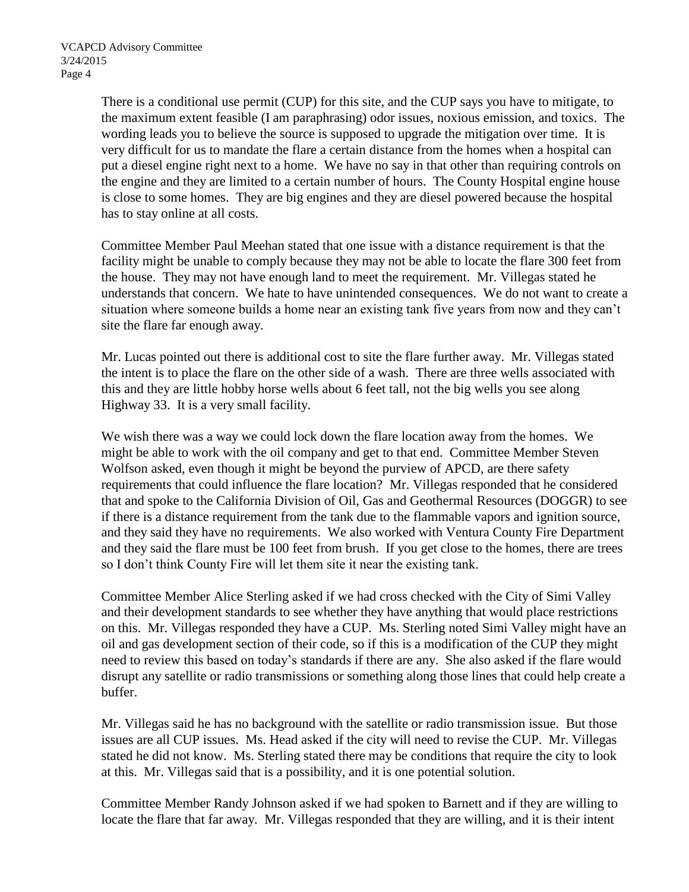There is a conditional use permit (CUP) for this site, and the CUP says you have to mitigate, to the maximum extent feasible (I am paraphrasing) odor issues, noxious emission, and toxics. The wording leads you to believe the source is supposed to upgrade the mitigation over time. It is very difficult for us to mandate the flare a certain distance from the homes when a hospital can put a diesel engine right next to a home. We have no say in that other than requiring controls on the engine and they are limited to a certain number of hours. The County Hospital engine house is close to some homes. They are big engines and they are diesel powered because the hospital has to stay online at all costs.

Committee Member Paul Meehan stated that one issue with a distance requirement is that the facility might be unable to comply because they may not be able to locate the flare 300 feet from the house. They may not have enough land to meet the requirement. Mr. Villegas stated he understands that concern. We hate to have unintended consequences. We do not want to create a situation where someone builds a home near an existing tank five years from now and they can't site the flare far enough away.

Mr. Lucas pointed out there is additional cost to site the flare further away. Mr. Villegas stated the intent is to place the flare on the other side of a wash. There are three wells associated with this and they are little hobby horse wells about 6 feet tall, not the big wells you see along Highway 33. It is a very small facility.

We wish there was a way we could lock down the flare location away from the homes. We might be able to work with the oil company and get to that end. Committee Member Steven Wolfson asked, even though it might be beyond the purview of APCD, are there safety requirements that could influence the flare location? Mr. Villegas responded that he considered that and spoke to the California Division of Oil, Gas and Geothermal Resources (DOGGR) to see if there is a distance requirement from the tank due to the flammable vapors and ignition source, and they said they have no requirements. We also worked with Ventura County Fire Department and they said the flare must be 100 feet from brush. If you get close to the homes, there are trees so I don't think County Fire will let them site it near the existing tank.

Committee Member Alice Sterling asked if we had cross checked with the City of Simi Valley and their development standards to see whether they have anything that would place restrictions on this. Mr. Villegas responded they have a CUP. Ms. Sterling noted Simi Valley might have an oil and gas development section of their code, so if this is a modification of the CUP they might need to review this based on today's standards if there are any. She also asked if the flare would disrupt any satellite or radio transmissions or something along those lines that could help create a buffer.

Mr. Villegas said he has no background with the satellite or radio transmission issue. But those issues are all CUP issues. Ms. Head asked if the city will need to revise the CUP. Mr. Villegas stated he did not know. Ms. Sterling stated there may be conditions that require the city to look at this. Mr. Villegas said that is a possibility, and it is one potential solution.

Committee Member Randy Johnson asked if we had spoken to Barnett and if they are willing to locate the flare that far away. Mr. Villegas responded that they are willing, and it is their intent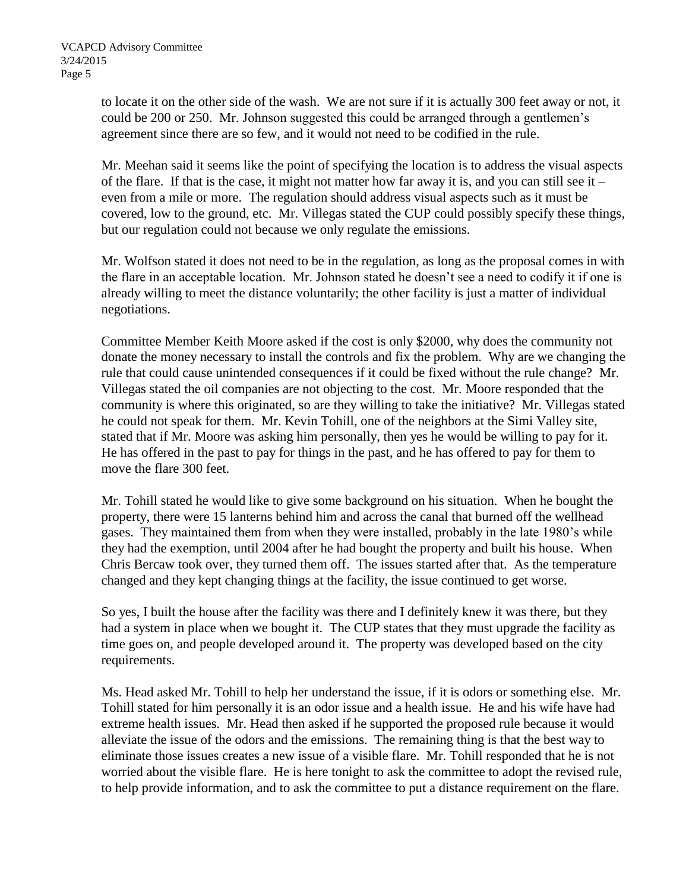to locate it on the other side of the wash. We are not sure if it is actually 300 feet away or not, it could be 200 or 250. Mr. Johnson suggested this could be arranged through a gentlemen's agreement since there are so few, and it would not need to be codified in the rule.

Mr. Meehan said it seems like the point of specifying the location is to address the visual aspects of the flare. If that is the case, it might not matter how far away it is, and you can still see it – even from a mile or more. The regulation should address visual aspects such as it must be covered, low to the ground, etc. Mr. Villegas stated the CUP could possibly specify these things, but our regulation could not because we only regulate the emissions.

Mr. Wolfson stated it does not need to be in the regulation, as long as the proposal comes in with the flare in an acceptable location. Mr. Johnson stated he doesn't see a need to codify it if one is already willing to meet the distance voluntarily; the other facility is just a matter of individual negotiations.

Committee Member Keith Moore asked if the cost is only \$2000, why does the community not donate the money necessary to install the controls and fix the problem. Why are we changing the rule that could cause unintended consequences if it could be fixed without the rule change? Mr. Villegas stated the oil companies are not objecting to the cost. Mr. Moore responded that the community is where this originated, so are they willing to take the initiative? Mr. Villegas stated he could not speak for them. Mr. Kevin Tohill, one of the neighbors at the Simi Valley site, stated that if Mr. Moore was asking him personally, then yes he would be willing to pay for it. He has offered in the past to pay for things in the past, and he has offered to pay for them to move the flare 300 feet.

Mr. Tohill stated he would like to give some background on his situation. When he bought the property, there were 15 lanterns behind him and across the canal that burned off the wellhead gases. They maintained them from when they were installed, probably in the late 1980's while they had the exemption, until 2004 after he had bought the property and built his house. When Chris Bercaw took over, they turned them off. The issues started after that. As the temperature changed and they kept changing things at the facility, the issue continued to get worse.

So yes, I built the house after the facility was there and I definitely knew it was there, but they had a system in place when we bought it. The CUP states that they must upgrade the facility as time goes on, and people developed around it. The property was developed based on the city requirements.

Ms. Head asked Mr. Tohill to help her understand the issue, if it is odors or something else. Mr. Tohill stated for him personally it is an odor issue and a health issue. He and his wife have had extreme health issues. Mr. Head then asked if he supported the proposed rule because it would alleviate the issue of the odors and the emissions. The remaining thing is that the best way to eliminate those issues creates a new issue of a visible flare. Mr. Tohill responded that he is not worried about the visible flare. He is here tonight to ask the committee to adopt the revised rule, to help provide information, and to ask the committee to put a distance requirement on the flare.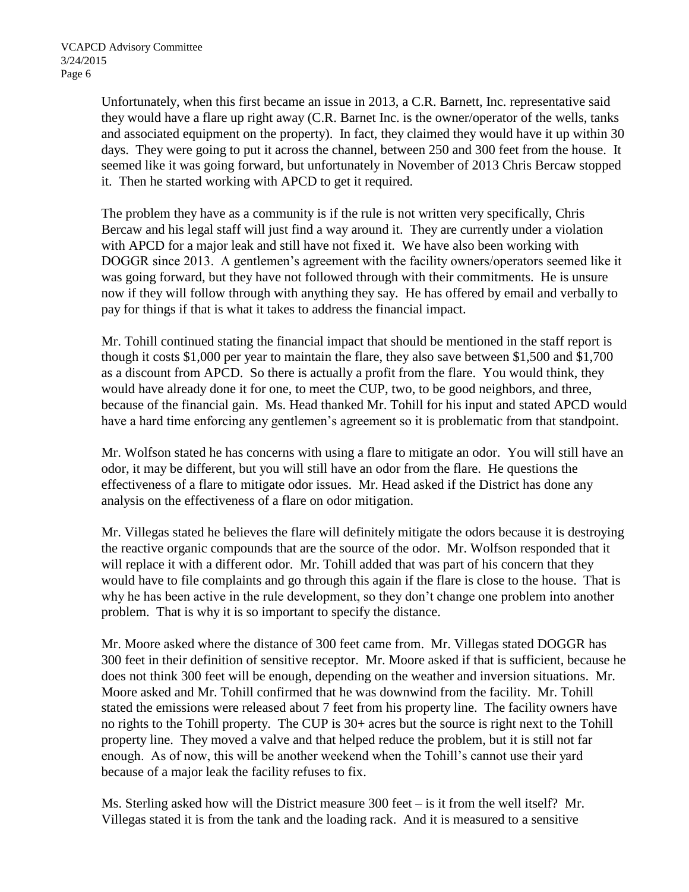Unfortunately, when this first became an issue in 2013, a C.R. Barnett, Inc. representative said they would have a flare up right away (C.R. Barnet Inc. is the owner/operator of the wells, tanks and associated equipment on the property). In fact, they claimed they would have it up within 30 days. They were going to put it across the channel, between 250 and 300 feet from the house. It seemed like it was going forward, but unfortunately in November of 2013 Chris Bercaw stopped it. Then he started working with APCD to get it required.

The problem they have as a community is if the rule is not written very specifically, Chris Bercaw and his legal staff will just find a way around it. They are currently under a violation with APCD for a major leak and still have not fixed it. We have also been working with DOGGR since 2013. A gentlemen's agreement with the facility owners/operators seemed like it was going forward, but they have not followed through with their commitments. He is unsure now if they will follow through with anything they say. He has offered by email and verbally to pay for things if that is what it takes to address the financial impact.

Mr. Tohill continued stating the financial impact that should be mentioned in the staff report is though it costs \$1,000 per year to maintain the flare, they also save between \$1,500 and \$1,700 as a discount from APCD. So there is actually a profit from the flare. You would think, they would have already done it for one, to meet the CUP, two, to be good neighbors, and three, because of the financial gain. Ms. Head thanked Mr. Tohill for his input and stated APCD would have a hard time enforcing any gentlemen's agreement so it is problematic from that standpoint.

Mr. Wolfson stated he has concerns with using a flare to mitigate an odor. You will still have an odor, it may be different, but you will still have an odor from the flare. He questions the effectiveness of a flare to mitigate odor issues. Mr. Head asked if the District has done any analysis on the effectiveness of a flare on odor mitigation.

Mr. Villegas stated he believes the flare will definitely mitigate the odors because it is destroying the reactive organic compounds that are the source of the odor. Mr. Wolfson responded that it will replace it with a different odor. Mr. Tohill added that was part of his concern that they would have to file complaints and go through this again if the flare is close to the house. That is why he has been active in the rule development, so they don't change one problem into another problem. That is why it is so important to specify the distance.

Mr. Moore asked where the distance of 300 feet came from. Mr. Villegas stated DOGGR has 300 feet in their definition of sensitive receptor. Mr. Moore asked if that is sufficient, because he does not think 300 feet will be enough, depending on the weather and inversion situations. Mr. Moore asked and Mr. Tohill confirmed that he was downwind from the facility. Mr. Tohill stated the emissions were released about 7 feet from his property line. The facility owners have no rights to the Tohill property. The CUP is 30+ acres but the source is right next to the Tohill property line. They moved a valve and that helped reduce the problem, but it is still not far enough. As of now, this will be another weekend when the Tohill's cannot use their yard because of a major leak the facility refuses to fix.

Ms. Sterling asked how will the District measure 300 feet – is it from the well itself? Mr. Villegas stated it is from the tank and the loading rack. And it is measured to a sensitive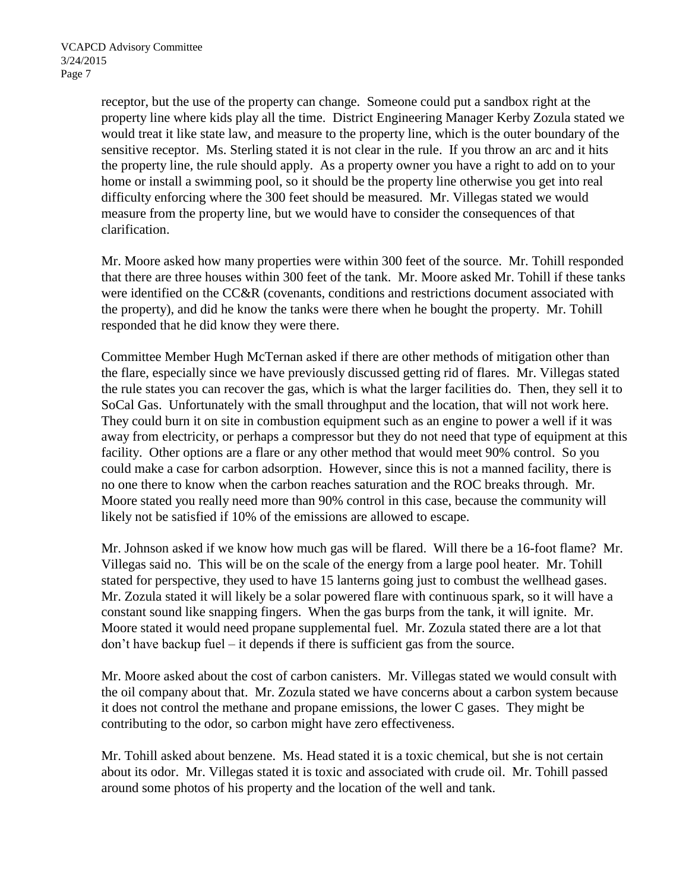receptor, but the use of the property can change. Someone could put a sandbox right at the property line where kids play all the time. District Engineering Manager Kerby Zozula stated we would treat it like state law, and measure to the property line, which is the outer boundary of the sensitive receptor. Ms. Sterling stated it is not clear in the rule. If you throw an arc and it hits the property line, the rule should apply. As a property owner you have a right to add on to your home or install a swimming pool, so it should be the property line otherwise you get into real difficulty enforcing where the 300 feet should be measured. Mr. Villegas stated we would measure from the property line, but we would have to consider the consequences of that clarification.

Mr. Moore asked how many properties were within 300 feet of the source. Mr. Tohill responded that there are three houses within 300 feet of the tank. Mr. Moore asked Mr. Tohill if these tanks were identified on the CC&R (covenants, conditions and restrictions document associated with the property), and did he know the tanks were there when he bought the property. Mr. Tohill responded that he did know they were there.

Committee Member Hugh McTernan asked if there are other methods of mitigation other than the flare, especially since we have previously discussed getting rid of flares. Mr. Villegas stated the rule states you can recover the gas, which is what the larger facilities do. Then, they sell it to SoCal Gas. Unfortunately with the small throughput and the location, that will not work here. They could burn it on site in combustion equipment such as an engine to power a well if it was away from electricity, or perhaps a compressor but they do not need that type of equipment at this facility. Other options are a flare or any other method that would meet 90% control. So you could make a case for carbon adsorption. However, since this is not a manned facility, there is no one there to know when the carbon reaches saturation and the ROC breaks through. Mr. Moore stated you really need more than 90% control in this case, because the community will likely not be satisfied if 10% of the emissions are allowed to escape.

Mr. Johnson asked if we know how much gas will be flared. Will there be a 16-foot flame? Mr. Villegas said no. This will be on the scale of the energy from a large pool heater. Mr. Tohill stated for perspective, they used to have 15 lanterns going just to combust the wellhead gases. Mr. Zozula stated it will likely be a solar powered flare with continuous spark, so it will have a constant sound like snapping fingers. When the gas burps from the tank, it will ignite. Mr. Moore stated it would need propane supplemental fuel. Mr. Zozula stated there are a lot that don't have backup fuel – it depends if there is sufficient gas from the source.

Mr. Moore asked about the cost of carbon canisters. Mr. Villegas stated we would consult with the oil company about that. Mr. Zozula stated we have concerns about a carbon system because it does not control the methane and propane emissions, the lower C gases. They might be contributing to the odor, so carbon might have zero effectiveness.

Mr. Tohill asked about benzene. Ms. Head stated it is a toxic chemical, but she is not certain about its odor. Mr. Villegas stated it is toxic and associated with crude oil. Mr. Tohill passed around some photos of his property and the location of the well and tank.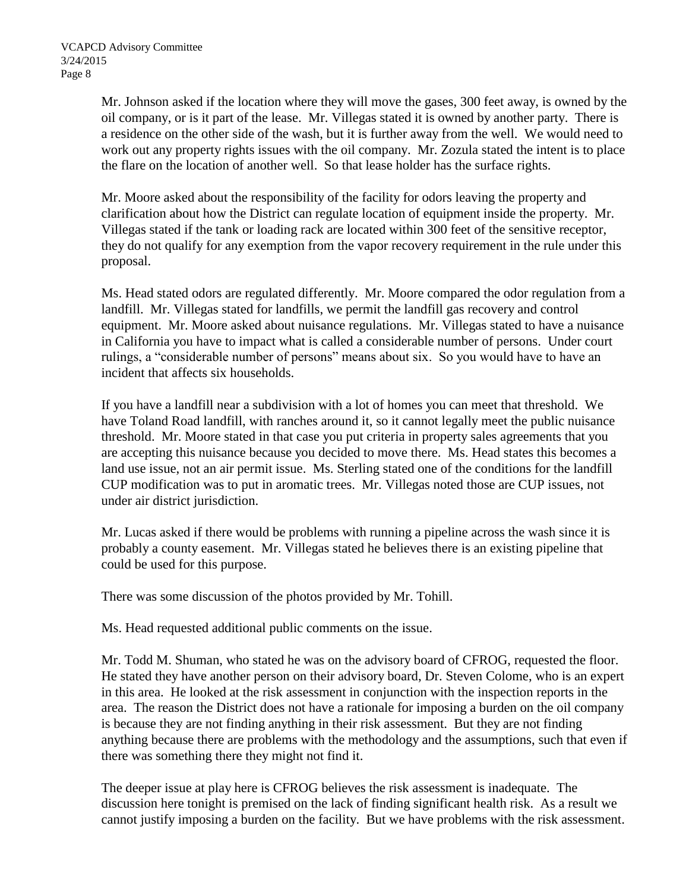Mr. Johnson asked if the location where they will move the gases, 300 feet away, is owned by the oil company, or is it part of the lease. Mr. Villegas stated it is owned by another party. There is a residence on the other side of the wash, but it is further away from the well. We would need to work out any property rights issues with the oil company. Mr. Zozula stated the intent is to place the flare on the location of another well. So that lease holder has the surface rights.

Mr. Moore asked about the responsibility of the facility for odors leaving the property and clarification about how the District can regulate location of equipment inside the property. Mr. Villegas stated if the tank or loading rack are located within 300 feet of the sensitive receptor, they do not qualify for any exemption from the vapor recovery requirement in the rule under this proposal.

Ms. Head stated odors are regulated differently. Mr. Moore compared the odor regulation from a landfill. Mr. Villegas stated for landfills, we permit the landfill gas recovery and control equipment. Mr. Moore asked about nuisance regulations. Mr. Villegas stated to have a nuisance in California you have to impact what is called a considerable number of persons. Under court rulings, a "considerable number of persons" means about six. So you would have to have an incident that affects six households.

If you have a landfill near a subdivision with a lot of homes you can meet that threshold. We have Toland Road landfill, with ranches around it, so it cannot legally meet the public nuisance threshold. Mr. Moore stated in that case you put criteria in property sales agreements that you are accepting this nuisance because you decided to move there. Ms. Head states this becomes a land use issue, not an air permit issue. Ms. Sterling stated one of the conditions for the landfill CUP modification was to put in aromatic trees. Mr. Villegas noted those are CUP issues, not under air district jurisdiction.

Mr. Lucas asked if there would be problems with running a pipeline across the wash since it is probably a county easement. Mr. Villegas stated he believes there is an existing pipeline that could be used for this purpose.

There was some discussion of the photos provided by Mr. Tohill.

Ms. Head requested additional public comments on the issue.

Mr. Todd M. Shuman, who stated he was on the advisory board of CFROG, requested the floor. He stated they have another person on their advisory board, Dr. Steven Colome, who is an expert in this area. He looked at the risk assessment in conjunction with the inspection reports in the area. The reason the District does not have a rationale for imposing a burden on the oil company is because they are not finding anything in their risk assessment. But they are not finding anything because there are problems with the methodology and the assumptions, such that even if there was something there they might not find it.

The deeper issue at play here is CFROG believes the risk assessment is inadequate. The discussion here tonight is premised on the lack of finding significant health risk. As a result we cannot justify imposing a burden on the facility. But we have problems with the risk assessment.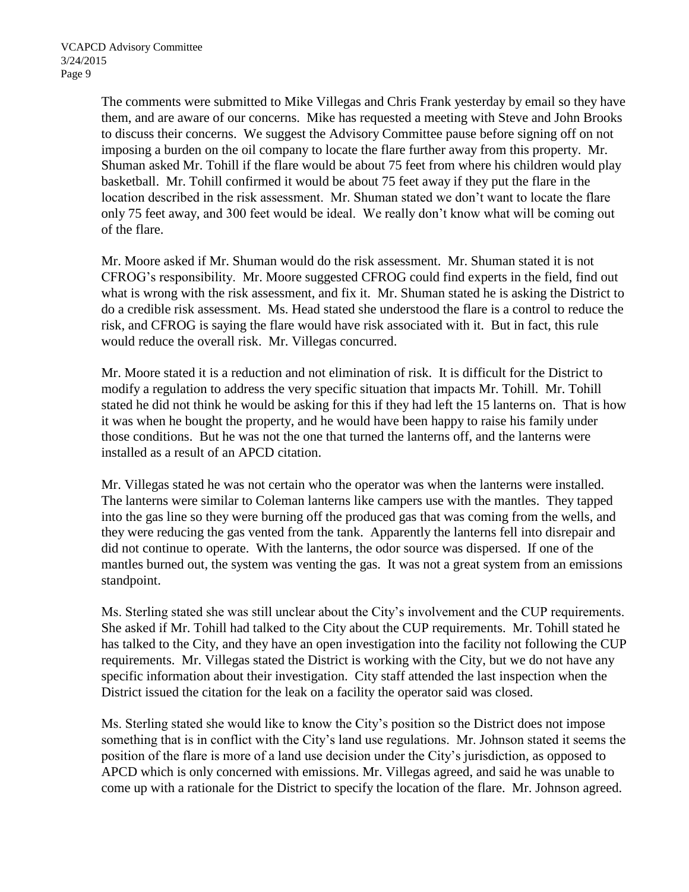The comments were submitted to Mike Villegas and Chris Frank yesterday by email so they have them, and are aware of our concerns. Mike has requested a meeting with Steve and John Brooks to discuss their concerns. We suggest the Advisory Committee pause before signing off on not imposing a burden on the oil company to locate the flare further away from this property. Mr. Shuman asked Mr. Tohill if the flare would be about 75 feet from where his children would play basketball. Mr. Tohill confirmed it would be about 75 feet away if they put the flare in the location described in the risk assessment. Mr. Shuman stated we don't want to locate the flare only 75 feet away, and 300 feet would be ideal. We really don't know what will be coming out of the flare.

Mr. Moore asked if Mr. Shuman would do the risk assessment. Mr. Shuman stated it is not CFROG's responsibility. Mr. Moore suggested CFROG could find experts in the field, find out what is wrong with the risk assessment, and fix it. Mr. Shuman stated he is asking the District to do a credible risk assessment. Ms. Head stated she understood the flare is a control to reduce the risk, and CFROG is saying the flare would have risk associated with it. But in fact, this rule would reduce the overall risk. Mr. Villegas concurred.

Mr. Moore stated it is a reduction and not elimination of risk. It is difficult for the District to modify a regulation to address the very specific situation that impacts Mr. Tohill. Mr. Tohill stated he did not think he would be asking for this if they had left the 15 lanterns on. That is how it was when he bought the property, and he would have been happy to raise his family under those conditions. But he was not the one that turned the lanterns off, and the lanterns were installed as a result of an APCD citation.

Mr. Villegas stated he was not certain who the operator was when the lanterns were installed. The lanterns were similar to Coleman lanterns like campers use with the mantles. They tapped into the gas line so they were burning off the produced gas that was coming from the wells, and they were reducing the gas vented from the tank. Apparently the lanterns fell into disrepair and did not continue to operate. With the lanterns, the odor source was dispersed. If one of the mantles burned out, the system was venting the gas. It was not a great system from an emissions standpoint.

Ms. Sterling stated she was still unclear about the City's involvement and the CUP requirements. She asked if Mr. Tohill had talked to the City about the CUP requirements. Mr. Tohill stated he has talked to the City, and they have an open investigation into the facility not following the CUP requirements. Mr. Villegas stated the District is working with the City, but we do not have any specific information about their investigation. City staff attended the last inspection when the District issued the citation for the leak on a facility the operator said was closed.

Ms. Sterling stated she would like to know the City's position so the District does not impose something that is in conflict with the City's land use regulations. Mr. Johnson stated it seems the position of the flare is more of a land use decision under the City's jurisdiction, as opposed to APCD which is only concerned with emissions. Mr. Villegas agreed, and said he was unable to come up with a rationale for the District to specify the location of the flare. Mr. Johnson agreed.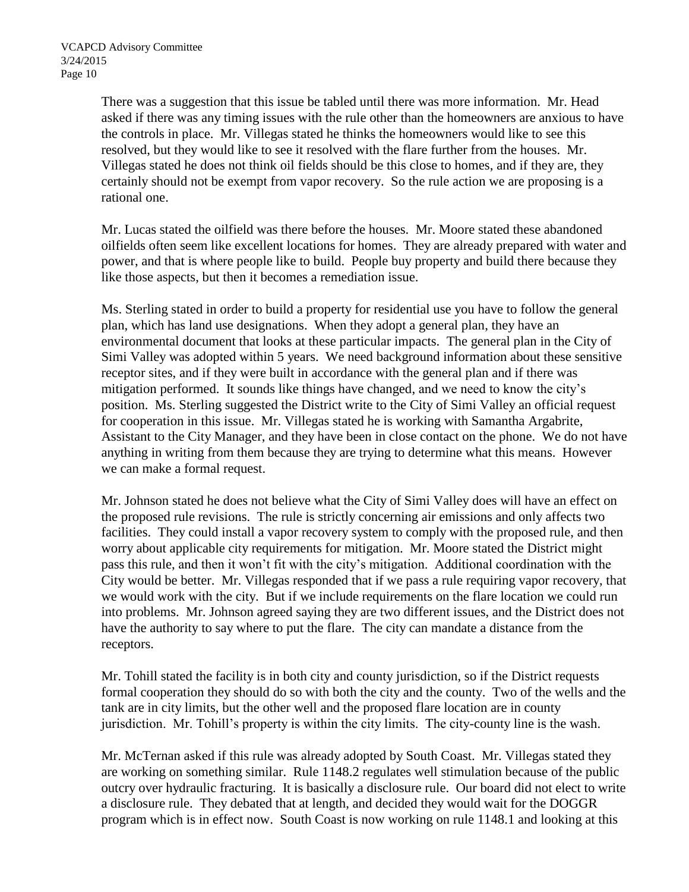There was a suggestion that this issue be tabled until there was more information. Mr. Head asked if there was any timing issues with the rule other than the homeowners are anxious to have the controls in place. Mr. Villegas stated he thinks the homeowners would like to see this resolved, but they would like to see it resolved with the flare further from the houses. Mr. Villegas stated he does not think oil fields should be this close to homes, and if they are, they certainly should not be exempt from vapor recovery. So the rule action we are proposing is a rational one.

Mr. Lucas stated the oilfield was there before the houses. Mr. Moore stated these abandoned oilfields often seem like excellent locations for homes. They are already prepared with water and power, and that is where people like to build. People buy property and build there because they like those aspects, but then it becomes a remediation issue.

Ms. Sterling stated in order to build a property for residential use you have to follow the general plan, which has land use designations. When they adopt a general plan, they have an environmental document that looks at these particular impacts. The general plan in the City of Simi Valley was adopted within 5 years. We need background information about these sensitive receptor sites, and if they were built in accordance with the general plan and if there was mitigation performed. It sounds like things have changed, and we need to know the city's position. Ms. Sterling suggested the District write to the City of Simi Valley an official request for cooperation in this issue. Mr. Villegas stated he is working with Samantha Argabrite, Assistant to the City Manager, and they have been in close contact on the phone. We do not have anything in writing from them because they are trying to determine what this means. However we can make a formal request.

Mr. Johnson stated he does not believe what the City of Simi Valley does will have an effect on the proposed rule revisions. The rule is strictly concerning air emissions and only affects two facilities. They could install a vapor recovery system to comply with the proposed rule, and then worry about applicable city requirements for mitigation. Mr. Moore stated the District might pass this rule, and then it won't fit with the city's mitigation. Additional coordination with the City would be better. Mr. Villegas responded that if we pass a rule requiring vapor recovery, that we would work with the city. But if we include requirements on the flare location we could run into problems. Mr. Johnson agreed saying they are two different issues, and the District does not have the authority to say where to put the flare. The city can mandate a distance from the receptors.

Mr. Tohill stated the facility is in both city and county jurisdiction, so if the District requests formal cooperation they should do so with both the city and the county. Two of the wells and the tank are in city limits, but the other well and the proposed flare location are in county jurisdiction. Mr. Tohill's property is within the city limits. The city-county line is the wash.

Mr. McTernan asked if this rule was already adopted by South Coast. Mr. Villegas stated they are working on something similar. Rule 1148.2 regulates well stimulation because of the public outcry over hydraulic fracturing. It is basically a disclosure rule. Our board did not elect to write a disclosure rule. They debated that at length, and decided they would wait for the DOGGR program which is in effect now. South Coast is now working on rule 1148.1 and looking at this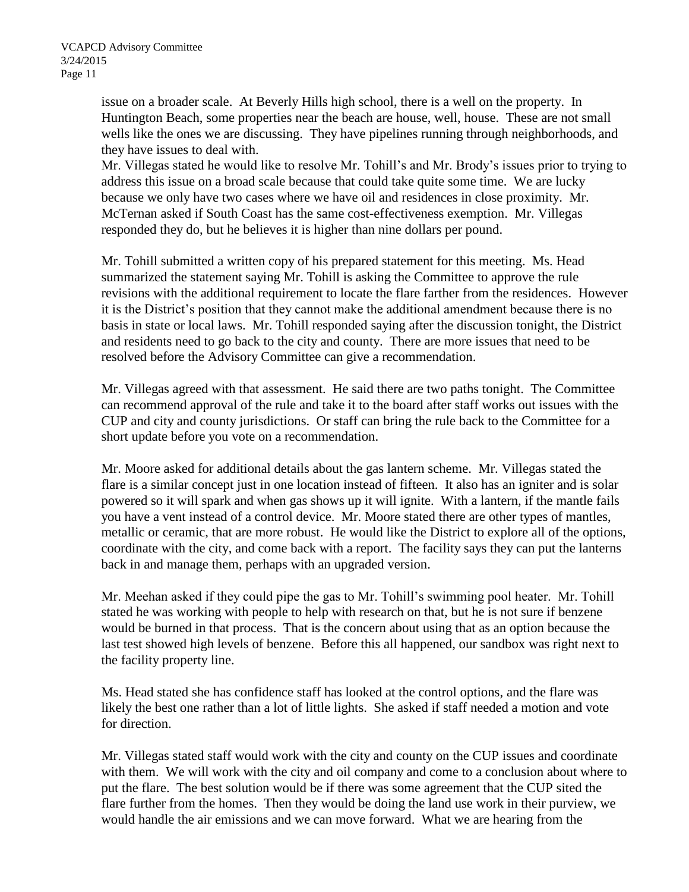issue on a broader scale. At Beverly Hills high school, there is a well on the property. In Huntington Beach, some properties near the beach are house, well, house. These are not small wells like the ones we are discussing. They have pipelines running through neighborhoods, and they have issues to deal with.

Mr. Villegas stated he would like to resolve Mr. Tohill's and Mr. Brody's issues prior to trying to address this issue on a broad scale because that could take quite some time. We are lucky because we only have two cases where we have oil and residences in close proximity. Mr. McTernan asked if South Coast has the same cost-effectiveness exemption. Mr. Villegas responded they do, but he believes it is higher than nine dollars per pound.

Mr. Tohill submitted a written copy of his prepared statement for this meeting. Ms. Head summarized the statement saying Mr. Tohill is asking the Committee to approve the rule revisions with the additional requirement to locate the flare farther from the residences. However it is the District's position that they cannot make the additional amendment because there is no basis in state or local laws. Mr. Tohill responded saying after the discussion tonight, the District and residents need to go back to the city and county. There are more issues that need to be resolved before the Advisory Committee can give a recommendation.

Mr. Villegas agreed with that assessment. He said there are two paths tonight. The Committee can recommend approval of the rule and take it to the board after staff works out issues with the CUP and city and county jurisdictions. Or staff can bring the rule back to the Committee for a short update before you vote on a recommendation.

Mr. Moore asked for additional details about the gas lantern scheme. Mr. Villegas stated the flare is a similar concept just in one location instead of fifteen. It also has an igniter and is solar powered so it will spark and when gas shows up it will ignite. With a lantern, if the mantle fails you have a vent instead of a control device. Mr. Moore stated there are other types of mantles, metallic or ceramic, that are more robust. He would like the District to explore all of the options, coordinate with the city, and come back with a report. The facility says they can put the lanterns back in and manage them, perhaps with an upgraded version.

Mr. Meehan asked if they could pipe the gas to Mr. Tohill's swimming pool heater. Mr. Tohill stated he was working with people to help with research on that, but he is not sure if benzene would be burned in that process. That is the concern about using that as an option because the last test showed high levels of benzene. Before this all happened, our sandbox was right next to the facility property line.

Ms. Head stated she has confidence staff has looked at the control options, and the flare was likely the best one rather than a lot of little lights. She asked if staff needed a motion and vote for direction.

Mr. Villegas stated staff would work with the city and county on the CUP issues and coordinate with them. We will work with the city and oil company and come to a conclusion about where to put the flare. The best solution would be if there was some agreement that the CUP sited the flare further from the homes. Then they would be doing the land use work in their purview, we would handle the air emissions and we can move forward. What we are hearing from the